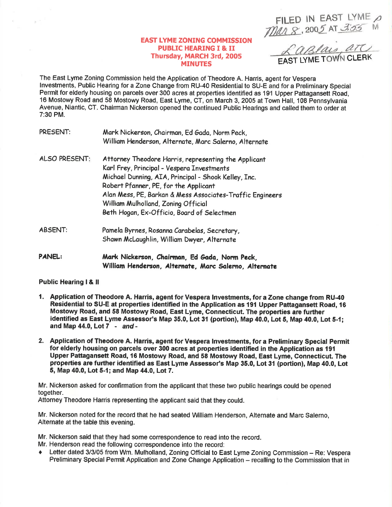FILED IN EAST LYME  $\rho$ <br>  $\text{MMS}$ , 2005 AT 3:55

## **EAST LYME ZONING COMMISSION PUBLIC HEARING I & II** Thursday, MARCH 3rd, 2005 **MINUTES**

Castais are

The East Lyme Zoning Commission held the Application of Theodore A. Harris, agent for Vespera Investments, Public Hearing for a Zone Change from RU-40 Residential to SU-E and for a Preliminary Special Permit for elderly housing on parcels over 300 acres at properties identified as 191 Upper Pattagansett Road. 16 Mostowy Road and 58 Mostowy Road, East Lyme, CT, on March 3, 2005 at Town Hall, 108 Pennsylvania Avenue, Niantic, CT. Chairman Nickerson opened the continued Public Hearings and called them to order at  $7:30$  PM.

| PRESENT:             | Mark Nickerson, Chairman, Ed Gada, Norm Peck,<br>William Henderson, Alternate, Marc Salerno, Alternate                                                                                                                                                                                                                                                |
|----------------------|-------------------------------------------------------------------------------------------------------------------------------------------------------------------------------------------------------------------------------------------------------------------------------------------------------------------------------------------------------|
| <b>ALSO PRESENT:</b> | Attorney Theodore Harris, representing the Applicant<br>Karl Frey, Principal - Vespera Investments<br>Michael Dunning, AIA, Principal - Shook Kelley, Inc.<br>Robert Pfanner, PE, for the Applicant<br>Alan Mess, PE, Barkan & Mess Associates-Traffic Engineers<br>William Mulholland, Zoning Official<br>Beth Hogan, Ex-Officio, Board of Selectmen |
| ABSENT:              | Pamela Byrnes, Rosanna Carabelas, Secretary,<br>Shawn McLaughlin, William Dwyer, Alternate                                                                                                                                                                                                                                                            |
| <b>PANEL:</b>        | Mark Nickerson, Chairman, Ed Gada, Norm Peck,<br>William Henderson, Alternate, Marc Salerno, Alternate                                                                                                                                                                                                                                                |

**Public Hearing I & II** 

 $\sim$   $^{-1}$ 

- 1. Application of Theodore A. Harris, agent for Vespera Investments, for a Zone change from RU-40 Residential to SU-E at properties identified in the Application as 191 Upper Pattagansett Road, 16 Mostowy Road, and 58 Mostowy Road, East Lyme, Connecticut. The properties are further identified as East Lyme Assessor's Map 35.0, Lot 31 (portion), Map 40.0, Lot 5, Map 40.0, Lot 5-1; and Map 44.0, Lot 7 - and -
- 2. Application of Theodore A. Harris, agent for Vespera Investments, for a Preliminary Special Permit for elderly housing on parcels over 300 acres at properties identified in the Application as 191 Upper Pattagansett Road, 16 Mostowy Road, and 58 Mostowy Road, East Lyme, Connecticut. The properties are further identified as East Lyme Assessor's Map 35.0, Lot 31 (portion), Map 40.0, Lot 5, Map 40.0, Lot 5-1; and Map 44.0, Lot 7.

Mr. Nickerson asked for confirmation from the applicant that these two public hearings could be opened together.

Attorney Theodore Harris representing the applicant said that they could.

Mr. Nickerson noted for the record that he had seated William Henderson, Alternate and Marc Salerno, Alternate at the table this evening.

Mr. Nickerson said that they had some correspondence to read into the record. Mr. Henderson read the following correspondence into the record:

Ether dated 3/3/05 from Wm. Mulholland, Zoning Official to East Lyme Zoning Commission – Re: Vespera Preliminary Special Permit Application and Zone Change Application - recalling to the Commission that in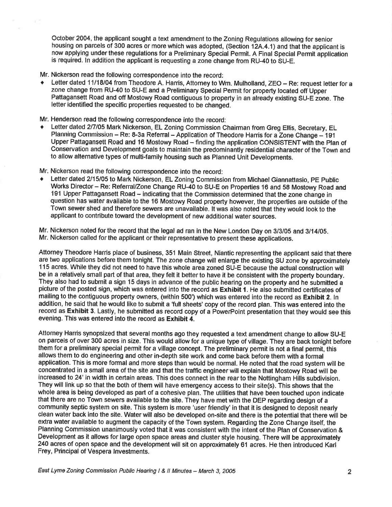October 2004, the applicant sought a text amendment to the Zoning Regulations allowing for senior housing on parcels of 300 acres or more which was adopted, (Section 12A.4.1) and that the applicant is now applying under these regulations for a Preliminary Special Permit. A Final Special Permit application is required, ln addition the applicant is requesting a zone change from RU-40 to SU-E.

## Mr. Nickerson read the following correspondence into the record:

Letter dated 11/18/04 from Theodore A. Harris, Attorney to Wm. Mulholland, ZEO - Re: request letter for a zone change from RU-40 to SU-E and a Preliminary Special Permit for property located off Upper Pattagansett Road and off Mostowy Road contiguous to property in an already existing SU-E zone. The letter identified the specific properties requested to be changed.

Mr. Henderson read the following correspondence into the record:<br>
• Letter dated 2/7/05 Mark Nickerson, EL Zoning Commission Chairman from Greg Ellis, Secretary, EL Planning Commission - Re: 8-3a Referral - Application of Theodore Harris for a Zone Change  $-$  191 Upper Pattagansett Road and 16 Mostowy Road - finding the application CONSISTENT with the Plan of Conservation and Development goals to maintain the predominantly residential character of the Town and to allow alternative types of multi-family housing such as Planned Unit Developments.

Mr. Nickerson read the following correspondence into the record:<br>• Letter dated 2/15/05 to Mark Nickerson, EL Zoning Commission from Michael Giannattasio, PE Public Works Director - Re: Referral/Zone Change RU-40 to SU-E on Properties 16 and 58 Mostowy Road and 191 Upper Pattagansett Road - indicating that the Commission determined that the zone change in question has water available to the 16 Mostowy Road property however, the properties are outside of the Town sewer shed and therefore sewers are unavailable. lt was also noted that they woutd look to the applicant to contribute toward the development of new additional water sources.

Mr. Nickerson noted for the record that the legal ad ran in the New London Day on 3/3/05 and 3/14/05. Mr. Nickerson called for the applicant or their representative to present these applications.

Attorney Theodore Harris place of business, 351 Main Street, Niantic representing the applicant said that there are two applications before them tonight. The zone change will enlarge the existing SU zone by approximately <sup>1</sup>15 acres. While they did not need to have this whole area zoned SU-E because the actual construction will be in a relatively small part of that area, they felt it better to have it be consistent with the property boundary. They also had to submit a sign 15 days in advance of the public hearing on the property and he submitted a picture of the posted sign, which was entered into the record as Exhibit 1. He also submitted certificates of mailing to the contiguous property owners, (within 500') which was entered into the record as Exhibit 2. ln addition, he said that he would like to submit a 'full sheets' copy of the record plan. This was entered into the record as Exhibit 3. Lastly, he submitted as record copy of a PowerPoint presentation that they would see this evening. This was entered into the record as Exhibit 4.

Attorney Harris synopsized that several months ago they requested a text amendment change to allow SU-E on parcels of over 300 acres in size. This would allow for a unique type of village. They are back tonight before them for a preliminary special permit for a village concept. The preliminary permit is not a final permit, this allows them to do engineering and other in-depth site work and come back before them with a formal application. This is more formal and more steps than would be normal. He noted that the road system will be concentrated in a small area of the site and that the traffic engineer will explain that Mostowy Road will be increased to 24' in width in certain areas. This does connect in the rear to the Nottingham Hills subdivision. They will link up so that the both of them will have emergency access to their site(s). This shows that the whole area is being developed as part of a cohesive plan. The utilities that have been touched upon indicate that there are no Town sewers available to the site. They have met with the DEP regarding design of a community septic system on site. This system is more 'user friendly' in that it is designed to deposit nearly clean water back into the site. Water will also be developed on-site and there is the potential that there will be extra water available to augment the capacity of the Town system. Regarding the Zone Change itself, the Planning Commission unanimously voted that it was consistent with the intent of the Plan of Conservation & Development as it allows for large open space areas and cluster style housing. There will be approximately 240 acres of open space and the development will sit on approximately 61 acres. He then introduced Karl Frey, Principal of Vespera lnvestments.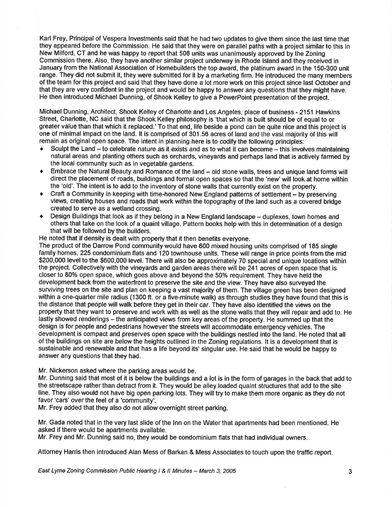Karl Frey, Principal of Vespera lnvestments said that he had two updates to give them since the last time that they appeared before the Commission. He said that they were on parallel paths with a project similar to this in New Milford, CT and he was happy to report that 508 units was unanimously approved by the Zoning Commission there. Also, they have another similar project underway in Rhode lsland and they received in January from the National Association of Homebuilders the top award, the platinum award in the 150-300 unit range. They did not submit it, they were submitted for it by a marketing firm. He introduced the many members of the team for this project and said that they have done a lot more work on this project since last Oc{ober and that they are very confident in the project and would be happy to answer any questions that they might have. He then introduced Michael Dunning, of Shook Kelley to give a PowerPoint presentation of the project.

Michael Dunning, Architect, Shook Kelley of Charlotte and Los Angeles, place of business - 2151 Hawkins Street, Charlotte, NC said that the Shook Kelley philosophy is 'that which is built should be of equal to or greater value than that which it replaced.' To that end, life beside a pond can be quite nice and this project is one of minimal impact on the land. It is comprised of 301.56 acres of land and the vast majority of this will remain as original open space. The intent in planning here is to codify the following principles:<br>• Sculpt the Land - to celebrate nature as it exists and as to what it can become - this involves maintaining

- natural areas and planting others such as orchards, vineyards and perhaps land that is actively farmed by the local community such as in vegetable gardens.
- $\bullet$  Embrace the Natural Beauty and Romance of the land  $-$  old stone walls, trees and unique land forms will direct the placement of roads, buildings and formal open spaces so that the 'new'will look at home within the 'old'. The intent is to add to the inventory of stone walls that currently exist on the property.
- Craft a Community in keeping with time-honored New England patterns of settlement by preserving vlews, creatlng houses and roads that work within the topography of the land such as a covered bridge created to serye as a wetland crossing.
- Design Buildings that look as if they belong in a New England landscape duplexes, town homes and others that take on the look of a quaint village. Pattern books help with this in determination of a design that will be followed by the builders.

He noted that if density is dealt with properly that it then benefits everyone.

The product of the Darrow Pond community would have 600 mixed housing units comprised of 185 single family homes, 225 condominium flats and 120 townhouse units. These will range in price points from the mid \$200,000 level to the \$600,000 level. There will also be approximately 70 special and unique locations within the project. Collectively with the vineyards and garden areas there will be 241 acres of open space that is closer to 80% open space, which goes above and beyond the 50% requirement. They have held the development back from the waterfront to preserve the site and the view. They have also surveyed the surviving trees on the site and plan on keeping a vast majority of them. The village green has been designed within a one-quarter mile radius (1300 ft. or a five-minute walk) as through studies they have found that this is the distance that people willwalk before they get in their car. They have also identified the views on the property that they want to preserve and work with as well as the stone walls that they will repair and add to. He lastly showed renderings - the anticipated views from key areas of the property. He summed up that the design is for people and pedestrians however the streets will accommodate emergency vehicles. The development is compact and preserves open space with the buildings nestled into the land. He noted that all of the buildings on site are below the heights outlined in the Zoning regulations. lt is a development that is sustainable and renewable and that has a life beyond its' singular use. He said that he would be happy to answer any questions that they had.

Mr. Nickerson asked where the parking areas would be.

Mr. Dunning said that most of it is below the buildings and a lot is in the form of garages in the back that add to the streetscape rather than detract from it. They would be alley loaded quaint structures that add to the site line. They also would not have big open parking lots. They will try to make them more organic as they do not favor'cars' over the feel of a 'community'.

Mr. Frey added that they also do not allow overnight street parking.

Mr. Gada noted that in the very last slide of the lnn on the Waterthat apartments had been mentioned. He asked if there would be apartments available.

Mr. Frey and Mr. Dunning said no, they would be condominium flats that had individual owners.

Attomey Haris then introduced Alan Mess of Barkan & Mess Associates to touch upon the traffic report.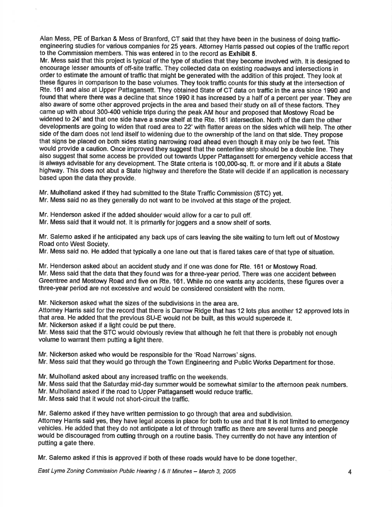Alan Mess, PE of Barkan & Mess of Branford, CT said that they have been in the business of doing trafficengineering studies for various companles for 25 years. Attorney Harris passed out copies of the traffic report to the Commission members. This was entered in to the record as Exhibit 5.

Mr. Mess said that this project is typical of the type of studies that they become involved with. lt is designed to encourage lesser amounts of off-site traffic. They collected data on existing roadways and intesections in order to estimate the amount of traffic that might be generated with the addition of this project. They look at these figures in comparison to the base volumes. They took traffic counts for this study at the intersection of Rte. 161 and also at Upper Pattagansett. They obtained State of CT data on traffic in the area since 1990 and found that where there was a decline that since 1990 it has increased by a half of a percent per year. They are also aware of some other approved projects in the area and based their study on all of these factors. They came up with about 300-400 vehicle trips during the peakAM hour and proposed that Mostowy Road be widened to 24' and that one side have a snow shelf at the Rte. 161 intersection. North of the dam the other developments are going to widen that road area to 22'wilh flatter areas on the sides which will help. The other side of the dam does not lend itself to widening due to the ownership of the land on that slde. They propose that signs be placed on both sides stating narrowing road ahead even though it may only be two feet. This would provide a caution. Once improved they suggest that the centerline strip should be a double line. They also suggest that some access be provided out towards Upper Pattagansett for emergency vehicle access that is always advisable for any development. The State criteria is 100,000-sq. ft. or more and if it abuts a State highway. This does not abut a State highway and therefore the State will decide if an application is necessary based upon the data they provide.

Mr. Mulholland asked if they had submitted to the State Traffic Commission (STC) yet. Mr. Mess said no as they generally do not want to be involved at this stage of the project.

Mr. Henderson asked if the added shoulder would allow for a car to pull off. Mr. Mess said that it would not. lt is primarily for joggers and a snow shelf of sorts.

Mr. Salemo asked if he anticipated any back ups of cars leaving the site waiting to turn left out of Mostowy Road onto West Society.

Mr. Mess said no. He added that typically a one lane out that is flared takes care of that type of situation.

Mr. Henderson asked about an accident study and if one was done for Rte. 161 or Mostowy Road. Mr. Mess said that the data that they found was for a three-year period. There was one accident between Greentree and Mostowy Road and five on Rte. 161. While no one wants any accidents, these figures over a three-year period are not excessive and would be considered consistent with the norm.

Mr. Nickerson asked what the sizes of the subdivisions in the area are.

Attorney Harris said for the record that there is Darrow Ridge that has 12 lots plus another 12 approved lots in that area. He added that the previous SU-E would not be built, as this would supercede it. Mr. Nickerson asked if a light could be put there.

Mr. Mess said that the STC would obviously review that although he felt that there is probably not enough volume to warrant them putting a light there.

Mr. Nickerson asked who would be responsible forthe 'Road Narrows'signs.

Mr. Mess said that they would go through the Town Engineering and Public Works Department for those.

Mr. Mulholland asked about any increased traffic on the weekends.

Mr. Mess said that the Saturday mid-day summer would be somewhat similar to the afternoon peak numbers.

Mr. Mulholland asked if the road to Upper Pattagansett would reduce traffic.

Mr. Mess said that it would not short-circuit the traffic.

Mr. Salemo asked if they have written permission to go through that area and subdivision. Attorney Harris said yes, they have legal access in place for both to use and that it is not limited to emergency vehicles. He added that they do not anticipate a lot of through traffic as there are several turns and people would be discouraged from cutting through on a routine basis. They currently do not have any intention of putting a gate there.

Mr. Salemo asked if this is approved if both of these roads would have to be done together

East Lyme Zoning Commission Public Hearing I & ll Minutes - March 3, <sup>2005</sup> 4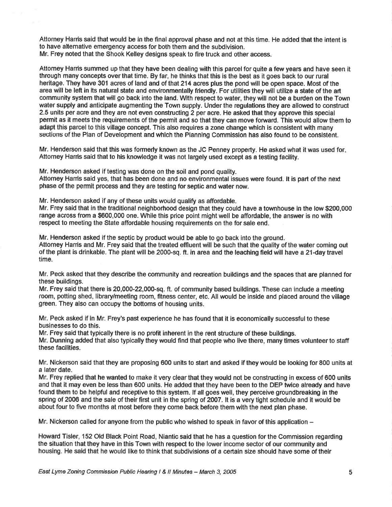Attorney Harris said that would be in the final approval phase and not at this time. He added that the intent is to have altemative emergency access for both them and the subdivision. Mr. Frey noted that the Shook Kelley designs speak to fire truck and other access.

Attomey Harris summed up that they have been dealing with this parcel for quite a few years and have seen it through many concepts overthat time. By far, he thinks that this is the best as it goes back to our rural heritage. They have 301 acres of land and of that 214 acres plus the pond will be open space. Most of the area will be left in its natural state and environmentally friendly. For utilities they will utilizo a state of the art community system that will go back into the land. With respect to water, they will not be a burden on the Town water supply and anticipate augmenting the Town supply. Under the regulations they are allowed to construct 2.5 units per acre and they are not even constructing 2 per acre. He asked that they approve this special permit as it meets the requirements of the permit and so that they can move forward. This would allow them to adapt this parcel to this village concept. This also requires a zone change which is consistent with many sections of the Plan of Development and whlch the Plannlng Commlsslon has also found to be conslstent.

Mr. Henderson said that this was formerly known as the JC Penney property. He asked what it was used for Attorney Harris said that to his knowledge it was not largely used except as a testing facility.

Mr. Henderson asked if testing was done on the soil and pond quality. Attorney Harris said yes, that has been done and no environmental issues were found. It is part of the next phase of the permit process and they are testing for septic and water now.

Mr. Henderson asked if any of these units would qualify as affordable.

Mr. Frey said that in the traditional neighborhood design that they could have a townhouse in the low \$200,000 range across from a \$600,000 one. While this price point might well be affordable, the answer is no with respect to meeting the State affordable housing requirements on the for sale end.

Mr. Henderson asked if the septic by product would be able to go back into the ground. Attorney Harris and Mr. Frey said that the treated effluent will be such that the quality of the water coming out of the plant is drinkable. The plant will be 2000-sq. ft. in area and the leaching field will have a 21-day travel time.

Mr. Peck asked that they describe the community and recreation buildings and the spaces that are planned for these buildings.

Mr. Frey said that there is 20,000-22,000-sq. ft. of community based buildings. These can include a meeting room, potting shed, library/meeting room, fitness center, etc. All would be inside and placed around the village green. They also can occupy the bottoms of housing units.

Mr. Peck asked if in Mr. Frey's past experience he has found that it is economically successful to these businesses to do this.

Mr. Frey said that typically there is no profit inherent in the rent structure of these buildings. Mr. Dunning added that also typically they would find that people who live there, many times volunteer to staff these facilities.

Mr. Nickerson said that they are proposing 600 units to start and asked if they would be looking for 800 units at a later date.

Mr. Frey replied that he wanted to make it very clearthat they would not be constructing in excess of 600 units and that it may even be less than 600 units. He added that they have been to the DEP twice already and have found them to be helpful and receptive to this system. lf all goes well, they perceive groundbreaking in the spring of 2006 and the sale of their first unit in the spring ot 2007 . lt is a very tight schedule and it would be about four to five months at most before they come back before them with the next plan phase.

Mr. Nickerson called for anyone from the public who wished to speak in favor of this application  $-$ 

Howard Tisler, 152 Old Black Point Road, Niantic said that he has a question for the Commission regarding the situation that they have in this Town with respoct to the lower income sector of our community and housing. He said that he would like to think that subdivisions of a certain size should have some of their